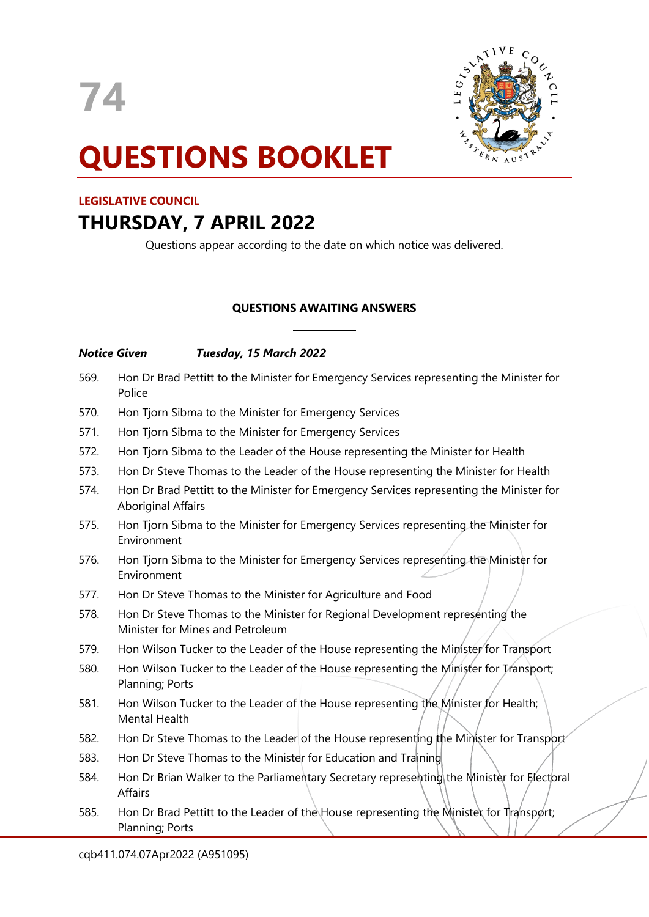



# **QUESTIONS BOOKLET**

# **LEGISLATIVE COUNCIL**

# **THURSDAY, 7 APRIL 2022**

Questions appear according to the date on which notice was delivered.

# **QUESTIONS AWAITING ANSWERS**

 $\overline{\phantom{a}}$ 

 $\overline{\phantom{a}}$ 

# *Notice Given Tuesday, 15 March 2022*

| 569. | Hon Dr Brad Pettitt to the Minister for Emergency Services representing the Minister for<br>Police                    |
|------|-----------------------------------------------------------------------------------------------------------------------|
| 570. | Hon Tjorn Sibma to the Minister for Emergency Services                                                                |
| 571. | Hon Tjorn Sibma to the Minister for Emergency Services                                                                |
| 572. | Hon Tjorn Sibma to the Leader of the House representing the Minister for Health                                       |
| 573. | Hon Dr Steve Thomas to the Leader of the House representing the Minister for Health                                   |
| 574. | Hon Dr Brad Pettitt to the Minister for Emergency Services representing the Minister for<br><b>Aboriginal Affairs</b> |
| 575. | Hon Tjorn Sibma to the Minister for Emergency Services representing the Minister for<br>Environment                   |
| 576. | Hon Tjorn Sibma to the Minister for Emergency Services representing the Minister for<br>Environment                   |
| 577. | Hon Dr Steve Thomas to the Minister for Agriculture and Food                                                          |
| 578. | Hon Dr Steve Thomas to the Minister for Regional Development representing the<br>Minister for Mines and Petroleum     |
| 579. | Hon Wilson Tucker to the Leader of the House representing the Minister for Transport                                  |
| 580. | Hon Wilson Tucker to the Leader of the House representing the Minister for Transport;<br>Planning; Ports              |
| 581. | Hon Wilson Tucker to the Leader of the House representing the Minister for Health;<br><b>Mental Health</b>            |
|      |                                                                                                                       |

- 582. Hon Dr Steve Thomas to the Leader of the House representing the Minister for Transport
- 583. Hon Dr Steve Thomas to the Minister for Education and Training
- 584. Hon Dr Brian Walker to the Parliamentary Secretary representing the Minister for Electoral Affairs
- 585. Hon Dr Brad Pettitt to the Leader of the House representing the Minister for Transport; Planning; Ports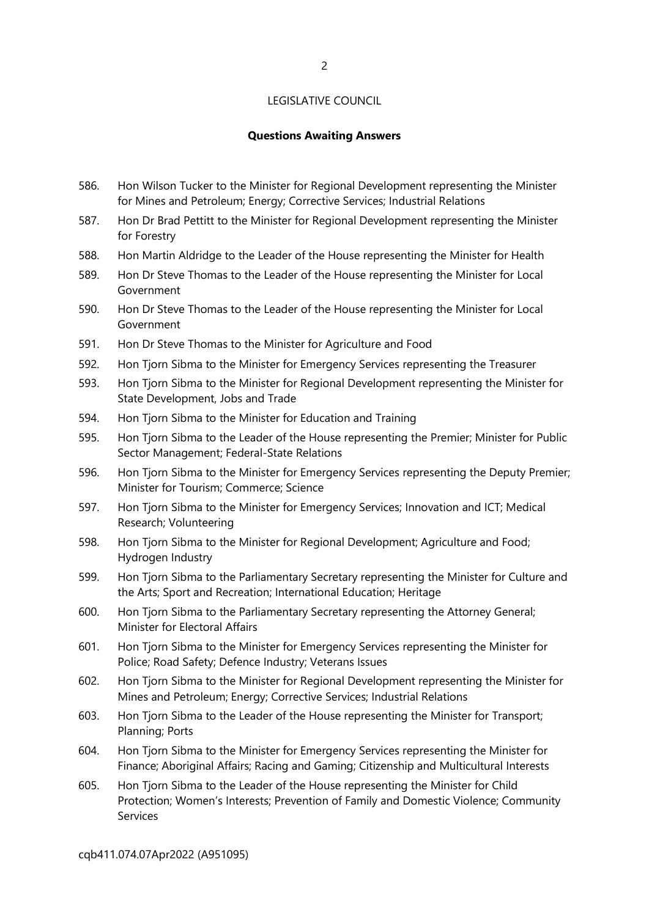# **Questions Awaiting Answers**

- 586. Hon Wilson Tucker to the Minister for Regional Development representing the Minister for Mines and Petroleum; Energy; Corrective Services; Industrial Relations
- 587. Hon Dr Brad Pettitt to the Minister for Regional Development representing the Minister for Forestry
- 588. Hon Martin Aldridge to the Leader of the House representing the Minister for Health
- 589. Hon Dr Steve Thomas to the Leader of the House representing the Minister for Local Government
- 590. Hon Dr Steve Thomas to the Leader of the House representing the Minister for Local Government
- 591. Hon Dr Steve Thomas to the Minister for Agriculture and Food
- 592. Hon Tjorn Sibma to the Minister for Emergency Services representing the Treasurer
- 593. Hon Tjorn Sibma to the Minister for Regional Development representing the Minister for State Development, Jobs and Trade
- 594. Hon Tjorn Sibma to the Minister for Education and Training
- 595. Hon Tjorn Sibma to the Leader of the House representing the Premier; Minister for Public Sector Management; Federal-State Relations
- 596. Hon Tjorn Sibma to the Minister for Emergency Services representing the Deputy Premier; Minister for Tourism; Commerce; Science
- 597. Hon Tjorn Sibma to the Minister for Emergency Services; Innovation and ICT; Medical Research; Volunteering
- 598. Hon Tjorn Sibma to the Minister for Regional Development; Agriculture and Food; Hydrogen Industry
- 599. Hon Tjorn Sibma to the Parliamentary Secretary representing the Minister for Culture and the Arts; Sport and Recreation; International Education; Heritage
- 600. Hon Tjorn Sibma to the Parliamentary Secretary representing the Attorney General; Minister for Electoral Affairs
- 601. Hon Tjorn Sibma to the Minister for Emergency Services representing the Minister for Police; Road Safety; Defence Industry; Veterans Issues
- 602. Hon Tjorn Sibma to the Minister for Regional Development representing the Minister for Mines and Petroleum; Energy; Corrective Services; Industrial Relations
- 603. Hon Tjorn Sibma to the Leader of the House representing the Minister for Transport; Planning; Ports
- 604. Hon Tjorn Sibma to the Minister for Emergency Services representing the Minister for Finance; Aboriginal Affairs; Racing and Gaming; Citizenship and Multicultural Interests
- 605. Hon Tjorn Sibma to the Leader of the House representing the Minister for Child Protection; Women's Interests; Prevention of Family and Domestic Violence; Community Services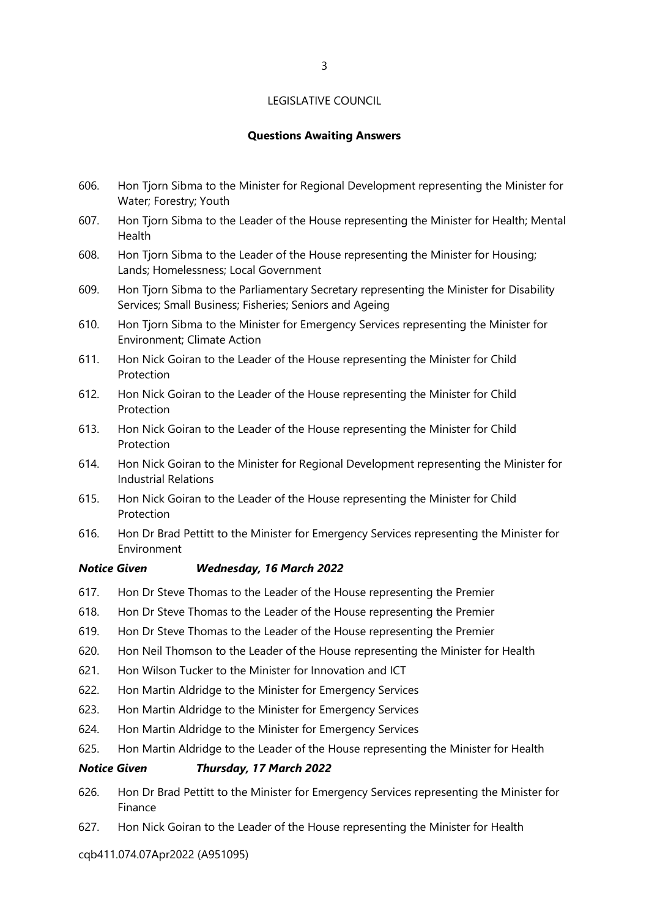# **Questions Awaiting Answers**

- 606. Hon Tjorn Sibma to the Minister for Regional Development representing the Minister for Water; Forestry; Youth
- 607. Hon Tjorn Sibma to the Leader of the House representing the Minister for Health; Mental Health
- 608. Hon Tjorn Sibma to the Leader of the House representing the Minister for Housing; Lands; Homelessness; Local Government
- 609. Hon Tjorn Sibma to the Parliamentary Secretary representing the Minister for Disability Services; Small Business; Fisheries; Seniors and Ageing
- 610. Hon Tjorn Sibma to the Minister for Emergency Services representing the Minister for Environment; Climate Action
- 611. Hon Nick Goiran to the Leader of the House representing the Minister for Child Protection
- 612. Hon Nick Goiran to the Leader of the House representing the Minister for Child Protection
- 613. Hon Nick Goiran to the Leader of the House representing the Minister for Child Protection
- 614. Hon Nick Goiran to the Minister for Regional Development representing the Minister for Industrial Relations
- 615. Hon Nick Goiran to the Leader of the House representing the Minister for Child Protection
- 616. Hon Dr Brad Pettitt to the Minister for Emergency Services representing the Minister for Environment

# *Notice Given Wednesday, 16 March 2022*

- 617. Hon Dr Steve Thomas to the Leader of the House representing the Premier
- 618. Hon Dr Steve Thomas to the Leader of the House representing the Premier
- 619. Hon Dr Steve Thomas to the Leader of the House representing the Premier
- 620. Hon Neil Thomson to the Leader of the House representing the Minister for Health
- 621. Hon Wilson Tucker to the Minister for Innovation and ICT
- 622. Hon Martin Aldridge to the Minister for Emergency Services
- 623. Hon Martin Aldridge to the Minister for Emergency Services
- 624. Hon Martin Aldridge to the Minister for Emergency Services
- 625. Hon Martin Aldridge to the Leader of the House representing the Minister for Health

#### *Notice Given Thursday, 17 March 2022*

- 626. Hon Dr Brad Pettitt to the Minister for Emergency Services representing the Minister for Finance
- 627. Hon Nick Goiran to the Leader of the House representing the Minister for Health

cqb411.074.07Apr2022 (A951095)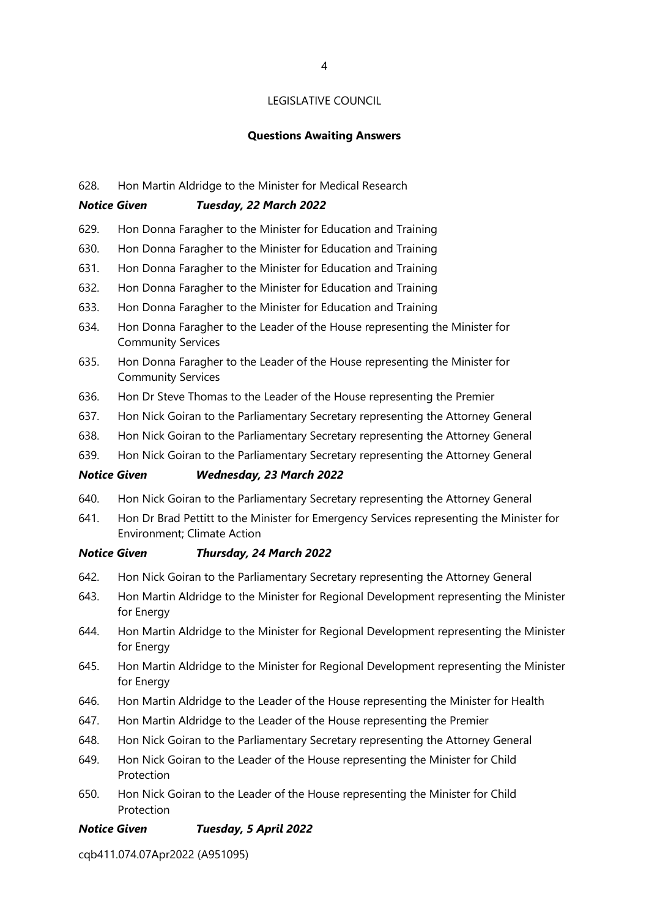#### **Questions Awaiting Answers**

#### 628. Hon Martin Aldridge to the Minister for Medical Research

#### *Notice Given Tuesday, 22 March 2022*

- 629. Hon Donna Faragher to the Minister for Education and Training
- 630. Hon Donna Faragher to the Minister for Education and Training
- 631. Hon Donna Faragher to the Minister for Education and Training
- 632. Hon Donna Faragher to the Minister for Education and Training
- 633. Hon Donna Faragher to the Minister for Education and Training
- 634. Hon Donna Faragher to the Leader of the House representing the Minister for Community Services
- 635. Hon Donna Faragher to the Leader of the House representing the Minister for Community Services
- 636. Hon Dr Steve Thomas to the Leader of the House representing the Premier
- 637. Hon Nick Goiran to the Parliamentary Secretary representing the Attorney General
- 638. Hon Nick Goiran to the Parliamentary Secretary representing the Attorney General
- 639. Hon Nick Goiran to the Parliamentary Secretary representing the Attorney General

# *Notice Given Wednesday, 23 March 2022*

- 640. Hon Nick Goiran to the Parliamentary Secretary representing the Attorney General
- 641. Hon Dr Brad Pettitt to the Minister for Emergency Services representing the Minister for Environment; Climate Action

#### *Notice Given Thursday, 24 March 2022*

- 642. Hon Nick Goiran to the Parliamentary Secretary representing the Attorney General
- 643. Hon Martin Aldridge to the Minister for Regional Development representing the Minister for Energy
- 644. Hon Martin Aldridge to the Minister for Regional Development representing the Minister for Energy
- 645. Hon Martin Aldridge to the Minister for Regional Development representing the Minister for Energy
- 646. Hon Martin Aldridge to the Leader of the House representing the Minister for Health
- 647. Hon Martin Aldridge to the Leader of the House representing the Premier
- 648. Hon Nick Goiran to the Parliamentary Secretary representing the Attorney General
- 649. Hon Nick Goiran to the Leader of the House representing the Minister for Child Protection
- 650. Hon Nick Goiran to the Leader of the House representing the Minister for Child Protection

#### *Notice Given Tuesday, 5 April 2022*

cqb411.074.07Apr2022 (A951095)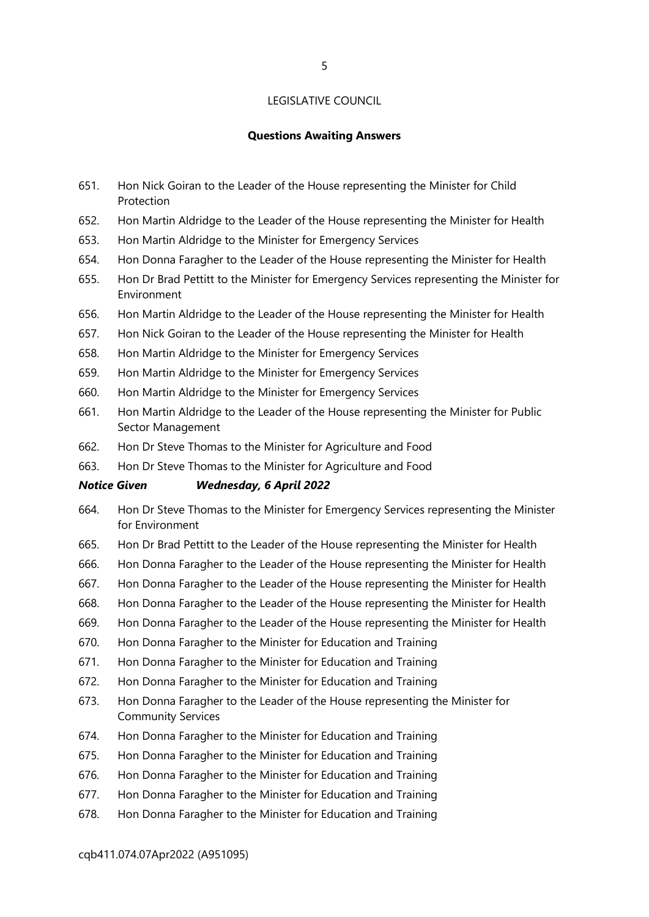#### **Questions Awaiting Answers**

- 651. Hon Nick Goiran to the Leader of the House representing the Minister for Child Protection
- 652. Hon Martin Aldridge to the Leader of the House representing the Minister for Health
- 653. Hon Martin Aldridge to the Minister for Emergency Services
- 654. Hon Donna Faragher to the Leader of the House representing the Minister for Health
- 655. Hon Dr Brad Pettitt to the Minister for Emergency Services representing the Minister for Environment
- 656. Hon Martin Aldridge to the Leader of the House representing the Minister for Health
- 657. Hon Nick Goiran to the Leader of the House representing the Minister for Health
- 658. Hon Martin Aldridge to the Minister for Emergency Services
- 659. Hon Martin Aldridge to the Minister for Emergency Services
- 660. Hon Martin Aldridge to the Minister for Emergency Services
- 661. Hon Martin Aldridge to the Leader of the House representing the Minister for Public Sector Management
- 662. Hon Dr Steve Thomas to the Minister for Agriculture and Food
- 663. Hon Dr Steve Thomas to the Minister for Agriculture and Food

#### *Notice Given Wednesday, 6 April 2022*

- 664. Hon Dr Steve Thomas to the Minister for Emergency Services representing the Minister for Environment
- 665. Hon Dr Brad Pettitt to the Leader of the House representing the Minister for Health
- 666. Hon Donna Faragher to the Leader of the House representing the Minister for Health
- 667. Hon Donna Faragher to the Leader of the House representing the Minister for Health
- 668. Hon Donna Faragher to the Leader of the House representing the Minister for Health
- 669. Hon Donna Faragher to the Leader of the House representing the Minister for Health
- 670. Hon Donna Faragher to the Minister for Education and Training
- 671. Hon Donna Faragher to the Minister for Education and Training
- 672. Hon Donna Faragher to the Minister for Education and Training
- 673. Hon Donna Faragher to the Leader of the House representing the Minister for Community Services
- 674. Hon Donna Faragher to the Minister for Education and Training
- 675. Hon Donna Faragher to the Minister for Education and Training
- 676. Hon Donna Faragher to the Minister for Education and Training
- 677. Hon Donna Faragher to the Minister for Education and Training
- 678. Hon Donna Faragher to the Minister for Education and Training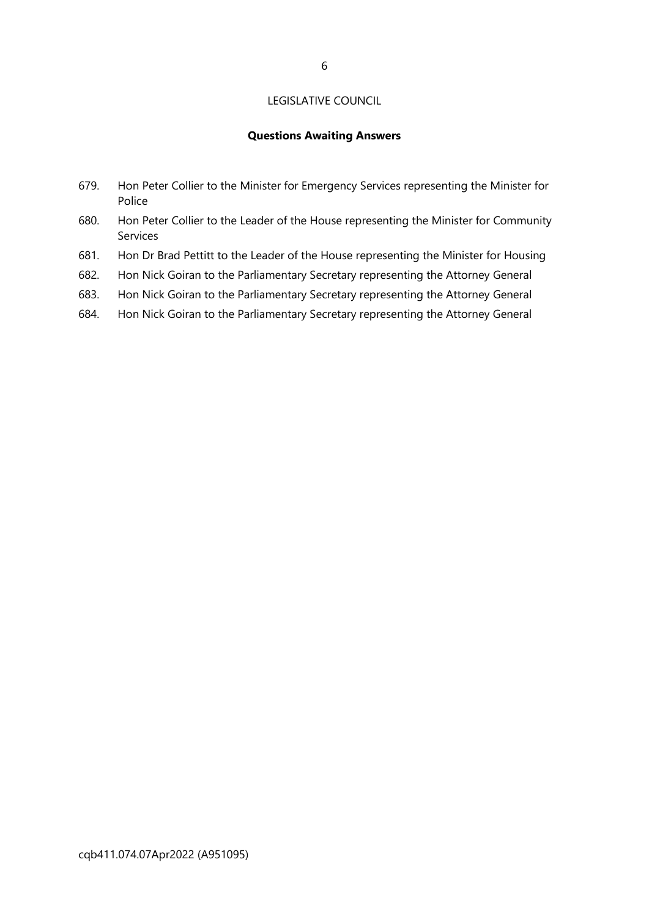# **Questions Awaiting Answers**

- 679. Hon Peter Collier to the Minister for Emergency Services representing the Minister for Police
- 680. Hon Peter Collier to the Leader of the House representing the Minister for Community **Services**
- 681. Hon Dr Brad Pettitt to the Leader of the House representing the Minister for Housing
- 682. Hon Nick Goiran to the Parliamentary Secretary representing the Attorney General
- 683. Hon Nick Goiran to the Parliamentary Secretary representing the Attorney General
- 684. Hon Nick Goiran to the Parliamentary Secretary representing the Attorney General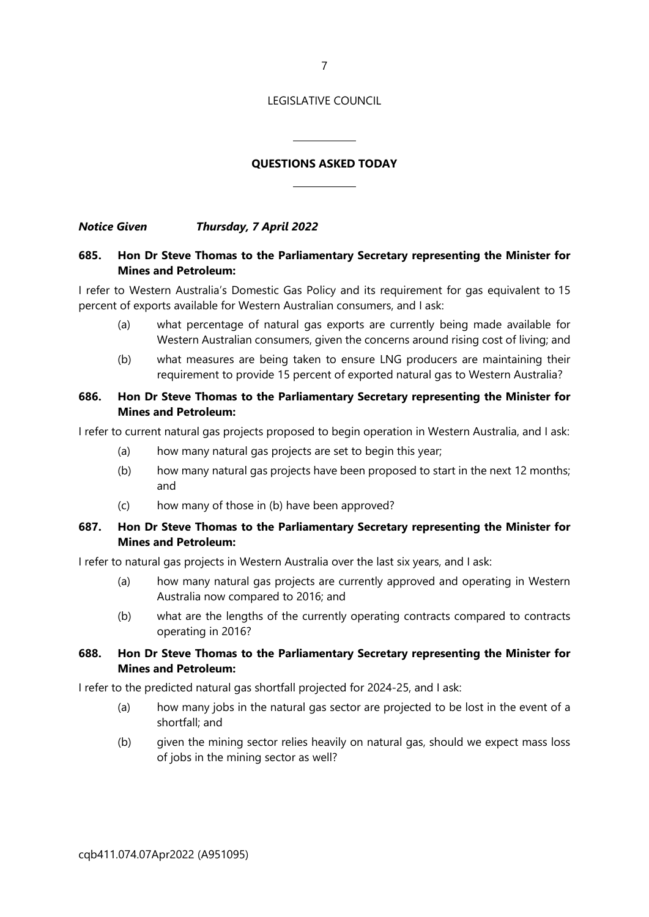7

#### LEGISLATIVE COUNCIL

# **QUESTIONS ASKED TODAY**

 $\overline{\phantom{a}}$ 

 $\overline{\phantom{a}}$ 

*Notice Given Thursday, 7 April 2022*

# **685. Hon Dr Steve Thomas to the Parliamentary Secretary representing the Minister for Mines and Petroleum:**

I refer to Western Australia's Domestic Gas Policy and its requirement for gas equivalent to 15 percent of exports available for Western Australian consumers, and I ask:

- (a) what percentage of natural gas exports are currently being made available for Western Australian consumers, given the concerns around rising cost of living; and
- (b) what measures are being taken to ensure LNG producers are maintaining their requirement to provide 15 percent of exported natural gas to Western Australia?

# **686. Hon Dr Steve Thomas to the Parliamentary Secretary representing the Minister for Mines and Petroleum:**

I refer to current natural gas projects proposed to begin operation in Western Australia, and I ask:

- (a) how many natural gas projects are set to begin this year;
- (b) how many natural gas projects have been proposed to start in the next 12 months; and
- (c) how many of those in (b) have been approved?

# **687. Hon Dr Steve Thomas to the Parliamentary Secretary representing the Minister for Mines and Petroleum:**

I refer to natural gas projects in Western Australia over the last six years, and I ask:

- (a) how many natural gas projects are currently approved and operating in Western Australia now compared to 2016; and
- (b) what are the lengths of the currently operating contracts compared to contracts operating in 2016?

# **688. Hon Dr Steve Thomas to the Parliamentary Secretary representing the Minister for Mines and Petroleum:**

I refer to the predicted natural gas shortfall projected for 2024-25, and I ask:

- (a) how many jobs in the natural gas sector are projected to be lost in the event of a shortfall; and
- (b) given the mining sector relies heavily on natural gas, should we expect mass loss of jobs in the mining sector as well?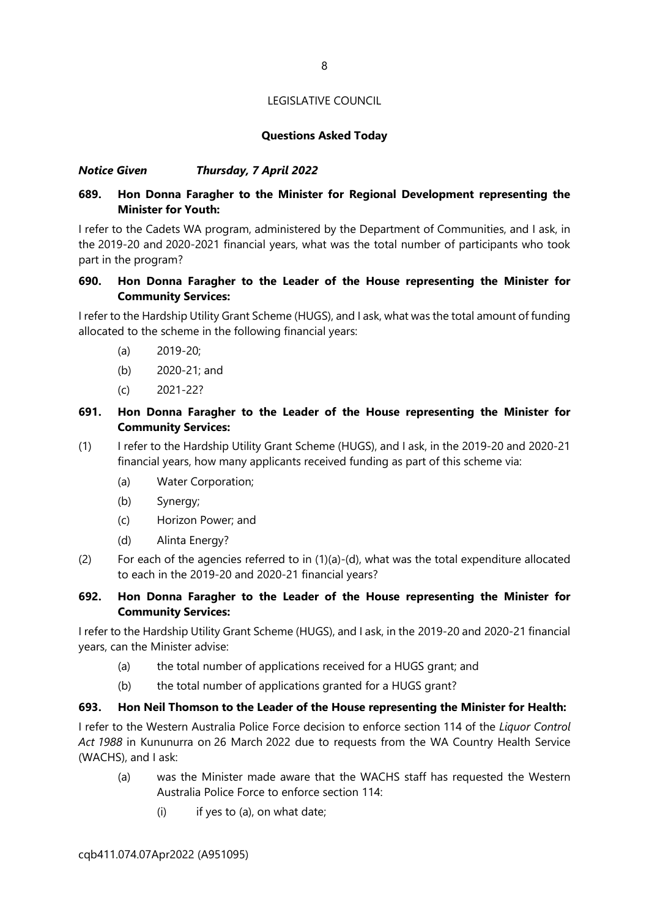# **Questions Asked Today**

# *Notice Given Thursday, 7 April 2022*

# **689. Hon Donna Faragher to the Minister for Regional Development representing the Minister for Youth:**

I refer to the Cadets WA program, administered by the Department of Communities, and I ask, in the 2019-20 and 2020-2021 financial years, what was the total number of participants who took part in the program?

# **690. Hon Donna Faragher to the Leader of the House representing the Minister for Community Services:**

I refer to the Hardship Utility Grant Scheme (HUGS), and I ask, what was the total amount of funding allocated to the scheme in the following financial years:

- (a) 2019-20;
- (b) 2020-21; and
- (c) 2021-22?

# **691. Hon Donna Faragher to the Leader of the House representing the Minister for Community Services:**

- (1) I refer to the Hardship Utility Grant Scheme (HUGS), and I ask, in the 2019-20 and 2020-21 financial years, how many applicants received funding as part of this scheme via:
	- (a) Water Corporation;
	- (b) Synergy;
	- (c) Horizon Power; and
	- (d) Alinta Energy?
- (2) For each of the agencies referred to in (1)(a)-(d), what was the total expenditure allocated to each in the 2019-20 and 2020-21 financial years?

# **692. Hon Donna Faragher to the Leader of the House representing the Minister for Community Services:**

I refer to the Hardship Utility Grant Scheme (HUGS), and I ask, in the 2019-20 and 2020-21 financial years, can the Minister advise:

- (a) the total number of applications received for a HUGS grant; and
- (b) the total number of applications granted for a HUGS grant?

#### **693. Hon Neil Thomson to the Leader of the House representing the Minister for Health:**

I refer to the Western Australia Police Force decision to enforce section 114 of the *Liquor Control Act 1988* in Kununurra on 26 March 2022 due to requests from the WA Country Health Service (WACHS), and I ask:

- (a) was the Minister made aware that the WACHS staff has requested the Western Australia Police Force to enforce section 114:
	- $(i)$  if yes to  $(a)$ , on what date;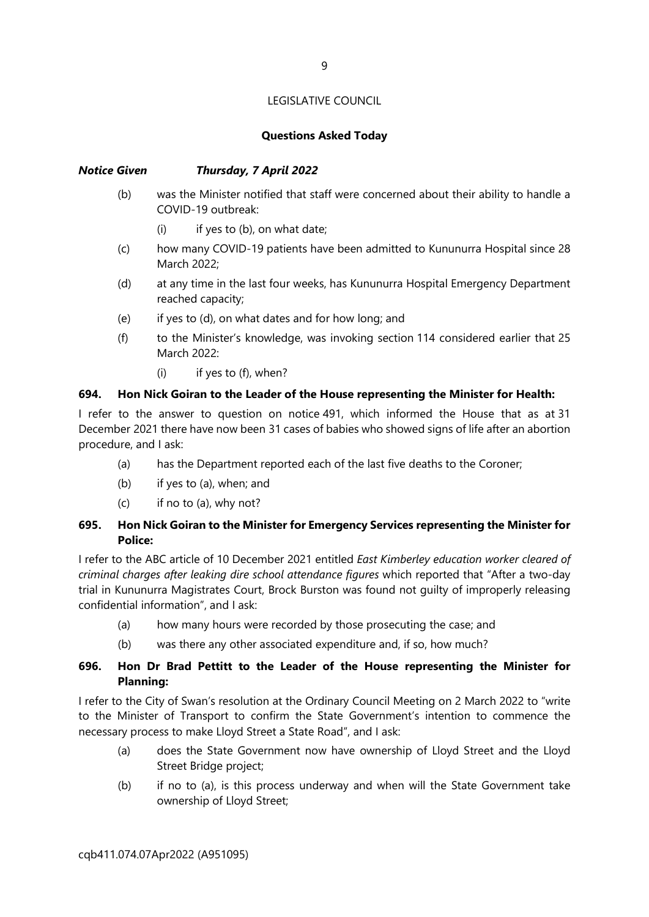# **Questions Asked Today**

# *Notice Given Thursday, 7 April 2022*

- (b) was the Minister notified that staff were concerned about their ability to handle a COVID-19 outbreak:
	- $(i)$  if yes to  $(b)$ , on what date;
- (c) how many COVID-19 patients have been admitted to Kununurra Hospital since 28 March 2022;
- (d) at any time in the last four weeks, has Kununurra Hospital Emergency Department reached capacity;
- (e) if yes to (d), on what dates and for how long; and
- (f) to the Minister's knowledge, was invoking section 114 considered earlier that 25 March 2022:
	- (i) if yes to (f), when?

# **694. Hon Nick Goiran to the Leader of the House representing the Minister for Health:**

I refer to the answer to question on notice 491, which informed the House that as at 31 December 2021 there have now been 31 cases of babies who showed signs of life after an abortion procedure, and I ask:

- (a) has the Department reported each of the last five deaths to the Coroner;
- (b) if yes to (a), when; and
- (c) if no to (a), why not?

# **695. Hon Nick Goiran to the Minister for Emergency Services representing the Minister for Police:**

I refer to the ABC article of 10 December 2021 entitled *East Kimberley education worker cleared of criminal charges after leaking dire school attendance figures* which reported that "After a two-day trial in Kununurra Magistrates Court, Brock Burston was found not guilty of improperly releasing confidential information", and I ask:

- (a) how many hours were recorded by those prosecuting the case; and
- (b) was there any other associated expenditure and, if so, how much?

# **696. Hon Dr Brad Pettitt to the Leader of the House representing the Minister for Planning:**

I refer to the City of Swan's resolution at the Ordinary Council Meeting on 2 March 2022 to "write to the Minister of Transport to confirm the State Government's intention to commence the necessary process to make Lloyd Street a State Road", and I ask:

- (a) does the State Government now have ownership of Lloyd Street and the Lloyd Street Bridge project;
- (b) if no to (a), is this process underway and when will the State Government take ownership of Lloyd Street;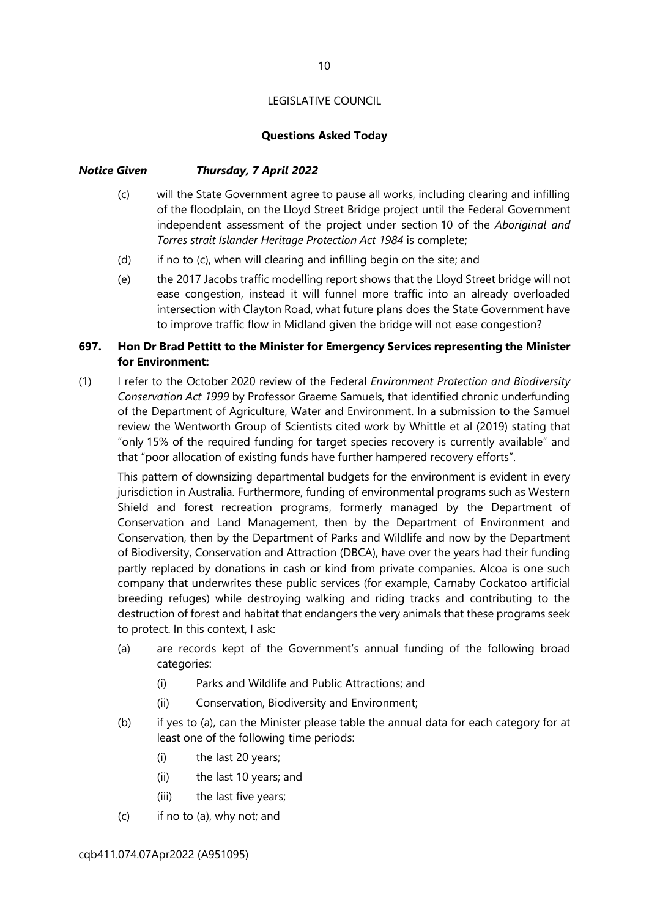# **Questions Asked Today**

# *Notice Given Thursday, 7 April 2022*

- (c) will the State Government agree to pause all works, including clearing and infilling of the floodplain, on the Lloyd Street Bridge project until the Federal Government independent assessment of the project under section 10 of the *Aboriginal and Torres strait Islander Heritage Protection Act 1984* is complete;
- $(d)$  if no to  $(c)$ , when will clearing and infilling begin on the site; and
- (e) the 2017 Jacobs traffic modelling report shows that the Lloyd Street bridge will not ease congestion, instead it will funnel more traffic into an already overloaded intersection with Clayton Road, what future plans does the State Government have to improve traffic flow in Midland given the bridge will not ease congestion?

# **697. Hon Dr Brad Pettitt to the Minister for Emergency Services representing the Minister for Environment:**

(1) I refer to the October 2020 review of the Federal *Environment Protection and Biodiversity Conservation Act 1999* by Professor Graeme Samuels, that identified chronic underfunding of the Department of Agriculture, Water and Environment. In a submission to the Samuel review the Wentworth Group of Scientists cited work by Whittle et al (2019) stating that "only 15% of the required funding for target species recovery is currently available" and that "poor allocation of existing funds have further hampered recovery efforts".

This pattern of downsizing departmental budgets for the environment is evident in every jurisdiction in Australia. Furthermore, funding of environmental programs such as Western Shield and forest recreation programs, formerly managed by the Department of Conservation and Land Management, then by the Department of Environment and Conservation, then by the Department of Parks and Wildlife and now by the Department of Biodiversity, Conservation and Attraction (DBCA), have over the years had their funding partly replaced by donations in cash or kind from private companies. Alcoa is one such company that underwrites these public services (for example, Carnaby Cockatoo artificial breeding refuges) while destroying walking and riding tracks and contributing to the destruction of forest and habitat that endangers the very animals that these programs seek to protect. In this context, I ask:

- (a) are records kept of the Government's annual funding of the following broad categories:
	- (i) Parks and Wildlife and Public Attractions; and
	- (ii) Conservation, Biodiversity and Environment;
- (b) if yes to (a), can the Minister please table the annual data for each category for at least one of the following time periods:
	- (i) the last 20 years;
	- (ii) the last 10 years; and
	- (iii) the last five years;
- (c) if no to (a), why not; and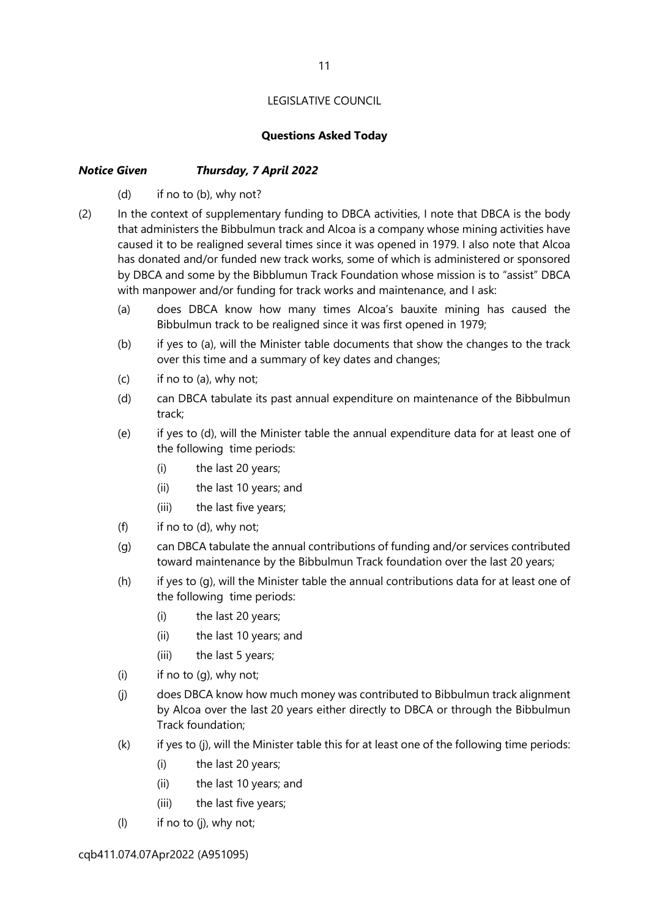# **Questions Asked Today**

# *Notice Given Thursday, 7 April 2022*

- (d) if no to (b), why not?
- (2) In the context of supplementary funding to DBCA activities, I note that DBCA is the body that administers the Bibbulmun track and Alcoa is a company whose mining activities have caused it to be realigned several times since it was opened in 1979. I also note that Alcoa has donated and/or funded new track works, some of which is administered or sponsored by DBCA and some by the Bibblumun Track Foundation whose mission is to "assist" DBCA with manpower and/or funding for track works and maintenance, and I ask:
	- (a) does DBCA know how many times Alcoa's bauxite mining has caused the Bibbulmun track to be realigned since it was first opened in 1979;
	- (b) if yes to (a), will the Minister table documents that show the changes to the track over this time and a summary of key dates and changes;
	- (c) if no to (a), why not;
	- (d) can DBCA tabulate its past annual expenditure on maintenance of the Bibbulmun track;
	- (e) if yes to (d), will the Minister table the annual expenditure data for at least one of the following time periods:
		- (i) the last 20 years;
		- (ii) the last 10 years; and
		- (iii) the last five years;
	- (f) if no to (d), why not;
	- (g) can DBCA tabulate the annual contributions of funding and/or services contributed toward maintenance by the Bibbulmun Track foundation over the last 20 years;
	- (h) if yes to (g), will the Minister table the annual contributions data for at least one of the following time periods:
		- (i) the last 20 years;
		- (ii) the last 10 years; and
		- (iii) the last 5 years;
	- $(i)$  if no to  $(a)$ , why not:
	- (j) does DBCA know how much money was contributed to Bibbulmun track alignment by Alcoa over the last 20 years either directly to DBCA or through the Bibbulmun Track foundation;
	- (k) if yes to (j), will the Minister table this for at least one of the following time periods:
		- (i) the last 20 years;
		- (ii) the last 10 years; and
		- (iii) the last five years;
	- (l) if no to (j), why not;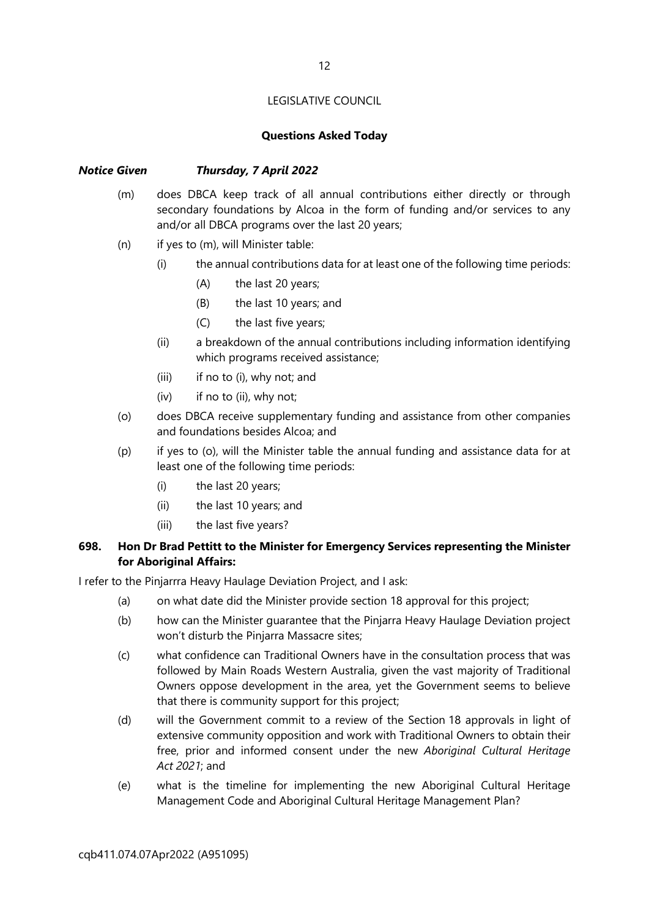# **Questions Asked Today**

# *Notice Given Thursday, 7 April 2022*

- (m) does DBCA keep track of all annual contributions either directly or through secondary foundations by Alcoa in the form of funding and/or services to any and/or all DBCA programs over the last 20 years;
- (n) if yes to (m), will Minister table:
	- (i) the annual contributions data for at least one of the following time periods:
		- (A) the last 20 years;
		- (B) the last 10 years; and
		- (C) the last five years;
	- (ii) a breakdown of the annual contributions including information identifying which programs received assistance;
	- (iii) if no to (i), why not; and
	- (iv) if no to (ii), why not;
- (o) does DBCA receive supplementary funding and assistance from other companies and foundations besides Alcoa; and
- (p) if yes to (o), will the Minister table the annual funding and assistance data for at least one of the following time periods:
	- (i) the last 20 years;
	- (ii) the last 10 years; and
	- (iii) the last five years?

# **698. Hon Dr Brad Pettitt to the Minister for Emergency Services representing the Minister for Aboriginal Affairs:**

I refer to the Pinjarrra Heavy Haulage Deviation Project, and I ask:

- (a) on what date did the Minister provide section 18 approval for this project;
- (b) how can the Minister guarantee that the Pinjarra Heavy Haulage Deviation project won't disturb the Pinjarra Massacre sites;
- (c) what confidence can Traditional Owners have in the consultation process that was followed by Main Roads Western Australia, given the vast majority of Traditional Owners oppose development in the area, yet the Government seems to believe that there is community support for this project;
- (d) will the Government commit to a review of the Section 18 approvals in light of extensive community opposition and work with Traditional Owners to obtain their free, prior and informed consent under the new *Aboriginal Cultural Heritage Act 2021*; and
- (e) what is the timeline for implementing the new Aboriginal Cultural Heritage Management Code and Aboriginal Cultural Heritage Management Plan?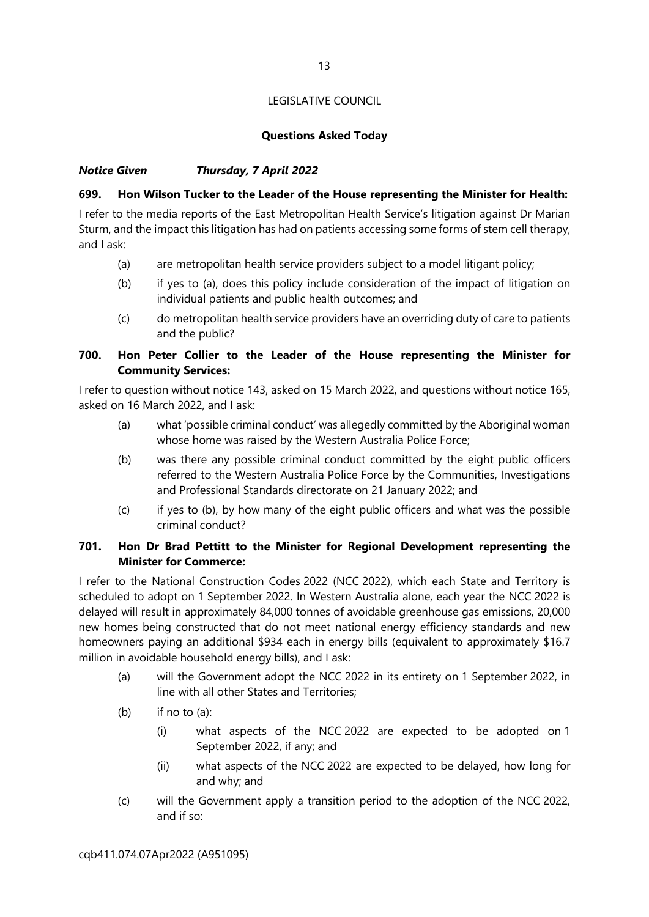# **Questions Asked Today**

# *Notice Given Thursday, 7 April 2022*

# **699. Hon Wilson Tucker to the Leader of the House representing the Minister for Health:**

I refer to the media reports of the East Metropolitan Health Service's litigation against Dr Marian Sturm, and the impact this litigation has had on patients accessing some forms of stem cell therapy, and I ask:

- (a) are metropolitan health service providers subject to a model litigant policy;
- (b) if yes to (a), does this policy include consideration of the impact of litigation on individual patients and public health outcomes; and
- (c) do metropolitan health service providers have an overriding duty of care to patients and the public?

# **700. Hon Peter Collier to the Leader of the House representing the Minister for Community Services:**

I refer to question without notice 143, asked on 15 March 2022, and questions without notice 165, asked on 16 March 2022, and I ask:

- (a) what 'possible criminal conduct' was allegedly committed by the Aboriginal woman whose home was raised by the Western Australia Police Force;
- (b) was there any possible criminal conduct committed by the eight public officers referred to the Western Australia Police Force by the Communities, Investigations and Professional Standards directorate on 21 January 2022; and
- (c) if yes to (b), by how many of the eight public officers and what was the possible criminal conduct?

# **701. Hon Dr Brad Pettitt to the Minister for Regional Development representing the Minister for Commerce:**

I refer to the National Construction Codes 2022 (NCC 2022), which each State and Territory is scheduled to adopt on 1 September 2022. In Western Australia alone, each year the NCC 2022 is delayed will result in approximately 84,000 tonnes of avoidable greenhouse gas emissions, 20,000 new homes being constructed that do not meet national energy efficiency standards and new homeowners paying an additional \$934 each in energy bills (equivalent to approximately \$16.7 million in avoidable household energy bills), and I ask:

- (a) will the Government adopt the NCC 2022 in its entirety on 1 September 2022, in line with all other States and Territories;
- $(b)$  if no to  $(a)$ :
	- (i) what aspects of the NCC 2022 are expected to be adopted on 1 September 2022, if any; and
	- (ii) what aspects of the NCC 2022 are expected to be delayed, how long for and why; and
- (c) will the Government apply a transition period to the adoption of the NCC 2022, and if so: